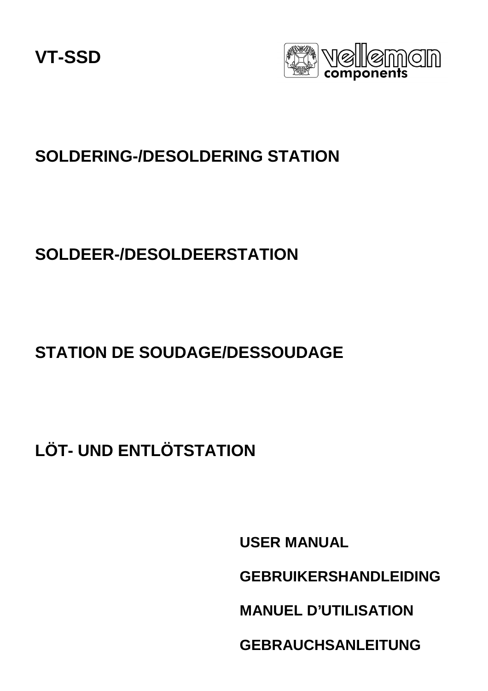**VT-SSD**



### **SOLDERING-/DESOLDERING STATION**

### **SOLDEER-/DESOLDEERSTATION**

## **STATION DE SOUDAGE/DESSOUDAGE**

# **LÖT- UND ENTLÖTSTATION**

**USER MANUAL GEBRUIKERSHANDLEIDING MANUEL D'UTILISATION GEBRAUCHSANLEITUNG**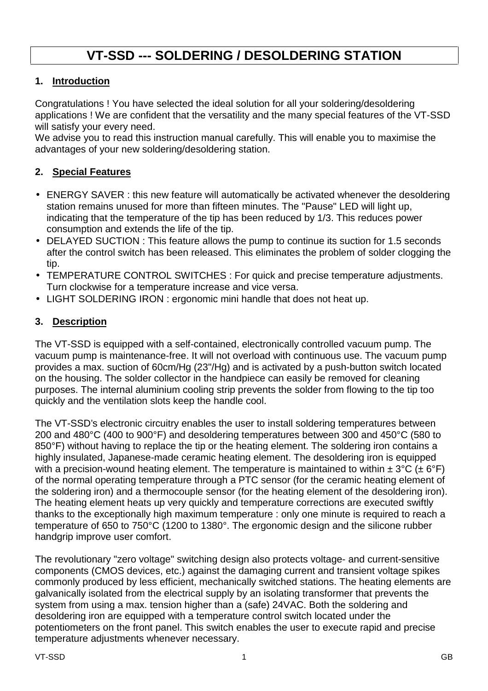### **VT-SSD --- SOLDERING / DESOLDERING STATION**

#### **1. Introduction**

Congratulations ! You have selected the ideal solution for all your soldering/desoldering applications ! We are confident that the versatility and the many special features of the VT-SSD will satisfy your every need.

We advise you to read this instruction manual carefully. This will enable you to maximise the advantages of your new soldering/desoldering station.

#### **2. Special Features**

- ENERGY SAVER : this new feature will automatically be activated whenever the desoldering station remains unused for more than fifteen minutes. The "Pause" LED will light up, indicating that the temperature of the tip has been reduced by 1/3. This reduces power consumption and extends the life of the tip.
- DELAYED SUCTION : This feature allows the pump to continue its suction for 1.5 seconds after the control switch has been released. This eliminates the problem of solder clogging the tip.
- TEMPERATURE CONTROL SWITCHES : For quick and precise temperature adjustments. Turn clockwise for a temperature increase and vice versa.
- LIGHT SOLDERING IRON : ergonomic mini handle that does not heat up.

#### **3. Description**

The VT-SSD is equipped with a self-contained, electronically controlled vacuum pump. The vacuum pump is maintenance-free. It will not overload with continuous use. The vacuum pump provides a max. suction of 60cm/Hg (23"/Hg) and is activated by a push-button switch located on the housing. The solder collector in the handpiece can easily be removed for cleaning purposes. The internal aluminium cooling strip prevents the solder from flowing to the tip too quickly and the ventilation slots keep the handle cool.

The VT-SSD's electronic circuitry enables the user to install soldering temperatures between 200 and 480°C (400 to 900°F) and desoldering temperatures between 300 and 450°C (580 to 850°F) without having to replace the tip or the heating element. The soldering iron contains a highly insulated, Japanese-made ceramic heating element. The desoldering iron is equipped with a precision-wound heating element. The temperature is maintained to within  $\pm 3^{\circ}C$  ( $\pm 6^{\circ}F$ ) of the normal operating temperature through a PTC sensor (for the ceramic heating element of the soldering iron) and a thermocouple sensor (for the heating element of the desoldering iron). The heating element heats up very quickly and temperature corrections are executed swiftly thanks to the exceptionally high maximum temperature : only one minute is required to reach a temperature of 650 to 750°C (1200 to 1380°. The ergonomic design and the silicone rubber handgrip improve user comfort.

The revolutionary "zero voltage" switching design also protects voltage- and current-sensitive components (CMOS devices, etc.) against the damaging current and transient voltage spikes commonly produced by less efficient, mechanically switched stations. The heating elements are galvanically isolated from the electrical supply by an isolating transformer that prevents the system from using a max. tension higher than a (safe) 24VAC. Both the soldering and desoldering iron are equipped with a temperature control switch located under the potentiometers on the front panel. This switch enables the user to execute rapid and precise temperature adjustments whenever necessary.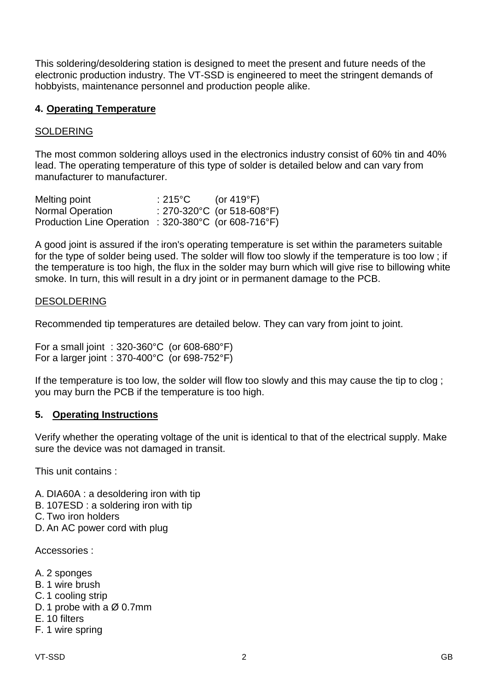This soldering/desoldering station is designed to meet the present and future needs of the electronic production industry. The VT-SSD is engineered to meet the stringent demands of hobbyists, maintenance personnel and production people alike.

#### **4. Operating Temperature**

#### SOLDERING

The most common soldering alloys used in the electronics industry consist of 60% tin and 40% lead. The operating temperature of this type of solder is detailed below and can vary from manufacturer to manufacturer.

| Melting point                                        | $:215^{\circ}$ C | (or 419°F)                 |
|------------------------------------------------------|------------------|----------------------------|
| <b>Normal Operation</b>                              |                  | : 270-320°C (or 518-608°F) |
| Production Line Operation : 320-380°C (or 608-716°F) |                  |                            |

A good joint is assured if the iron's operating temperature is set within the parameters suitable for the type of solder being used. The solder will flow too slowly if the temperature is too low ; if the temperature is too high, the flux in the solder may burn which will give rise to billowing white smoke. In turn, this will result in a dry joint or in permanent damage to the PCB.

#### DESOLDERING

Recommended tip temperatures are detailed below. They can vary from joint to joint.

For a small joint : 320-360°C (or 608-680°F) For a larger joint : 370-400°C (or 698-752°F)

If the temperature is too low, the solder will flow too slowly and this may cause the tip to clog ; you may burn the PCB if the temperature is too high.

#### **5. Operating Instructions**

Verify whether the operating voltage of the unit is identical to that of the electrical supply. Make sure the device was not damaged in transit.

This unit contains :

- A. DIA60A : a desoldering iron with tip
- B. 107ESD : a soldering iron with tip
- C. Two iron holders
- D. An AC power cord with plug

Accessories :

- A. 2 sponges
- B. 1 wire brush
- C. 1 cooling strip
- D. 1 probe with a Ø 0.7mm
- E. 10 filters
- F. 1 wire spring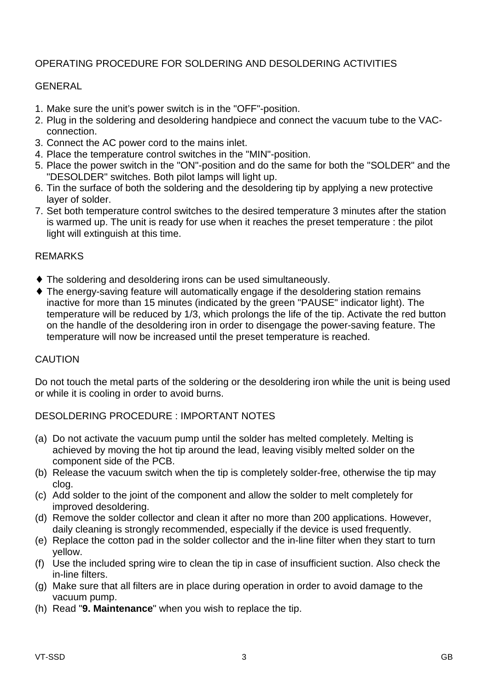#### OPERATING PROCEDURE FOR SOLDERING AND DESOLDERING ACTIVITIES

#### GENERAL

- 1. Make sure the unit's power switch is in the "OFF"-position.
- 2. Plug in the soldering and desoldering handpiece and connect the vacuum tube to the VACconnection.
- 3. Connect the AC power cord to the mains inlet.
- 4. Place the temperature control switches in the "MIN"-position.
- 5. Place the power switch in the "ON"-position and do the same for both the "SOLDER" and the "DESOLDER" switches. Both pilot lamps will light up.
- 6. Tin the surface of both the soldering and the desoldering tip by applying a new protective layer of solder.
- 7. Set both temperature control switches to the desired temperature 3 minutes after the station is warmed up. The unit is ready for use when it reaches the preset temperature : the pilot light will extinguish at this time.

#### REMARKS

- ♦ The soldering and desoldering irons can be used simultaneously.
- ♦ The energy-saving feature will automatically engage if the desoldering station remains inactive for more than 15 minutes (indicated by the green "PAUSE" indicator light). The temperature will be reduced by 1/3, which prolongs the life of the tip. Activate the red button on the handle of the desoldering iron in order to disengage the power-saving feature. The temperature will now be increased until the preset temperature is reached.

#### CAUTION

Do not touch the metal parts of the soldering or the desoldering iron while the unit is being used or while it is cooling in order to avoid burns.

#### DESOLDERING PROCEDURE : IMPORTANT NOTES

- (a) Do not activate the vacuum pump until the solder has melted completely. Melting is achieved by moving the hot tip around the lead, leaving visibly melted solder on the component side of the PCB.
- (b) Release the vacuum switch when the tip is completely solder-free, otherwise the tip may clog.
- (c) Add solder to the joint of the component and allow the solder to melt completely for improved desoldering.
- (d) Remove the solder collector and clean it after no more than 200 applications. However, daily cleaning is strongly recommended, especially if the device is used frequently.
- (e) Replace the cotton pad in the solder collector and the in-line filter when they start to turn yellow.
- (f) Use the included spring wire to clean the tip in case of insufficient suction. Also check the in-line filters.
- (g) Make sure that all filters are in place during operation in order to avoid damage to the vacuum pump.
- (h) Read "**9. Maintenance**" when you wish to replace the tip.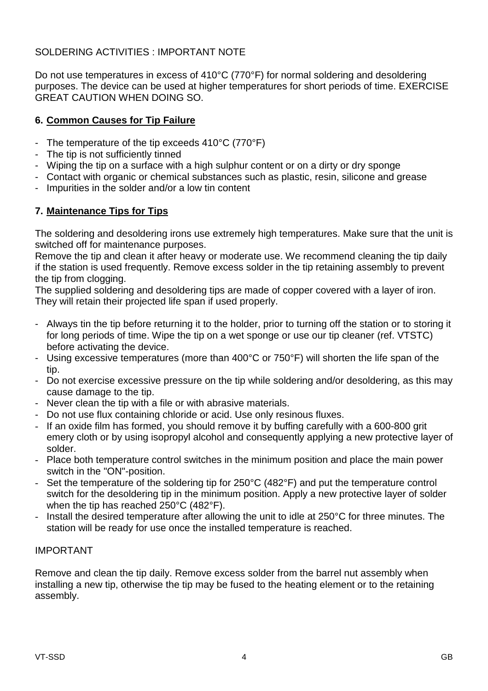#### SOLDERING ACTIVITIES : IMPORTANT NOTE

Do not use temperatures in excess of 410°C (770°F) for normal soldering and desoldering purposes. The device can be used at higher temperatures for short periods of time. EXERCISE GREAT CAUTION WHEN DOING SO.

#### **6. Common Causes for Tip Failure**

- The temperature of the tip exceeds 410°C (770°F)
- The tip is not sufficiently tinned
- Wiping the tip on a surface with a high sulphur content or on a dirty or dry sponge
- Contact with organic or chemical substances such as plastic, resin, silicone and grease
- Impurities in the solder and/or a low tin content

#### **7. Maintenance Tips for Tips**

The soldering and desoldering irons use extremely high temperatures. Make sure that the unit is switched off for maintenance purposes.

Remove the tip and clean it after heavy or moderate use. We recommend cleaning the tip daily if the station is used frequently. Remove excess solder in the tip retaining assembly to prevent the tip from clogging.

The supplied soldering and desoldering tips are made of copper covered with a layer of iron. They will retain their projected life span if used properly.

- Always tin the tip before returning it to the holder, prior to turning off the station or to storing it for long periods of time. Wipe the tip on a wet sponge or use our tip cleaner (ref. VTSTC) before activating the device.
- Using excessive temperatures (more than 400°C or 750°F) will shorten the life span of the tip.
- Do not exercise excessive pressure on the tip while soldering and/or desoldering, as this may cause damage to the tip.
- Never clean the tip with a file or with abrasive materials.
- Do not use flux containing chloride or acid. Use only resinous fluxes.
- If an oxide film has formed, you should remove it by buffing carefully with a 600-800 grit emery cloth or by using isopropyl alcohol and consequently applying a new protective layer of solder.
- Place both temperature control switches in the minimum position and place the main power switch in the "ON"-position.
- Set the temperature of the soldering tip for 250°C (482°F) and put the temperature control switch for the desoldering tip in the minimum position. Apply a new protective layer of solder when the tip has reached 250°C (482°F).
- Install the desired temperature after allowing the unit to idle at 250°C for three minutes. The station will be ready for use once the installed temperature is reached.

#### IMPORTANT

Remove and clean the tip daily. Remove excess solder from the barrel nut assembly when installing a new tip, otherwise the tip may be fused to the heating element or to the retaining assembly.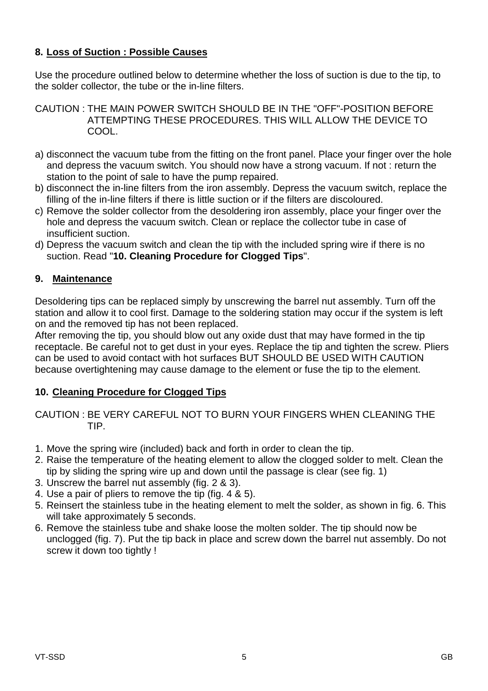#### **8. Loss of Suction : Possible Causes**

Use the procedure outlined below to determine whether the loss of suction is due to the tip, to the solder collector, the tube or the in-line filters.

- CAUTION : THE MAIN POWER SWITCH SHOULD BE IN THE "OFF"-POSITION BEFORE ATTEMPTING THESE PROCEDURES. THIS WILL ALLOW THE DEVICE TO COOL.
- a) disconnect the vacuum tube from the fitting on the front panel. Place your finger over the hole and depress the vacuum switch. You should now have a strong vacuum. If not : return the station to the point of sale to have the pump repaired.
- b) disconnect the in-line filters from the iron assembly. Depress the vacuum switch, replace the filling of the in-line filters if there is little suction or if the filters are discoloured.
- c) Remove the solder collector from the desoldering iron assembly, place your finger over the hole and depress the vacuum switch. Clean or replace the collector tube in case of insufficient suction.
- d) Depress the vacuum switch and clean the tip with the included spring wire if there is no suction. Read "**10. Cleaning Procedure for Clogged Tips**".

#### **9. Maintenance**

Desoldering tips can be replaced simply by unscrewing the barrel nut assembly. Turn off the station and allow it to cool first. Damage to the soldering station may occur if the system is left on and the removed tip has not been replaced.

After removing the tip, you should blow out any oxide dust that may have formed in the tip receptacle. Be careful not to get dust in your eyes. Replace the tip and tighten the screw. Pliers can be used to avoid contact with hot surfaces BUT SHOULD BE USED WITH CAUTION because overtightening may cause damage to the element or fuse the tip to the element.

#### **10. Cleaning Procedure for Clogged Tips**

CAUTION : BE VERY CAREFUL NOT TO BURN YOUR FINGERS WHEN CLEANING THE TIP.

- 1. Move the spring wire (included) back and forth in order to clean the tip.
- 2. Raise the temperature of the heating element to allow the clogged solder to melt. Clean the tip by sliding the spring wire up and down until the passage is clear (see fig. 1)
- 3. Unscrew the barrel nut assembly (fig. 2 & 3).
- 4. Use a pair of pliers to remove the tip (fig. 4 & 5).
- 5. Reinsert the stainless tube in the heating element to melt the solder, as shown in fig. 6. This will take approximately 5 seconds.
- 6. Remove the stainless tube and shake loose the molten solder. The tip should now be unclogged (fig. 7). Put the tip back in place and screw down the barrel nut assembly. Do not screw it down too tightly !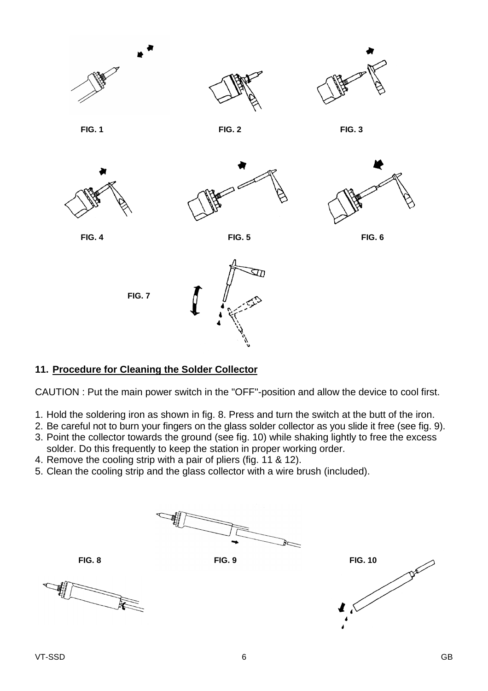

#### **11. Procedure for Cleaning the Solder Collector**

CAUTION : Put the main power switch in the "OFF"-position and allow the device to cool first.

- 1. Hold the soldering iron as shown in fig. 8. Press and turn the switch at the butt of the iron.
- 2. Be careful not to burn your fingers on the glass solder collector as you slide it free (see fig. 9).
- 3. Point the collector towards the ground (see fig. 10) while shaking lightly to free the excess solder. Do this frequently to keep the station in proper working order.
- 4. Remove the cooling strip with a pair of pliers (fig. 11 & 12).
- 5. Clean the cooling strip and the glass collector with a wire brush (included).





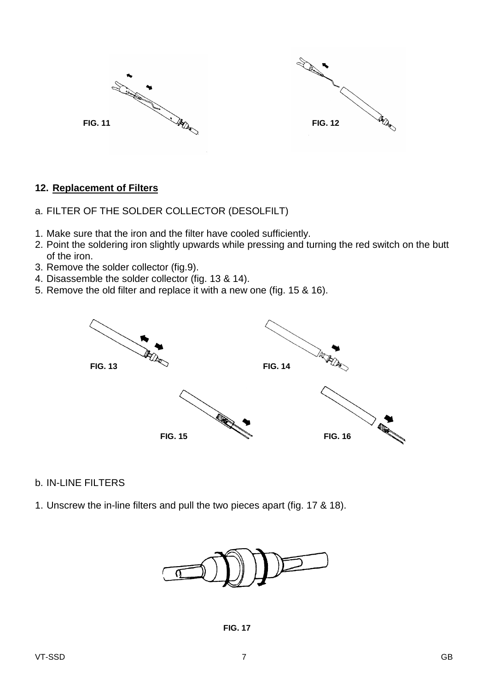



#### **12. Replacement of Filters**

- a. FILTER OF THE SOLDER COLLECTOR (DESOLFILT)
- 1. Make sure that the iron and the filter have cooled sufficiently.
- 2. Point the soldering iron slightly upwards while pressing and turning the red switch on the butt of the iron.
- 3. Remove the solder collector (fig.9).
- 4. Disassemble the solder collector (fig. 13 & 14).
- 5. Remove the old filter and replace it with a new one (fig. 15 & 16).



#### b. IN-LINE FILTERS

1. Unscrew the in-line filters and pull the two pieces apart (fig. 17 & 18).